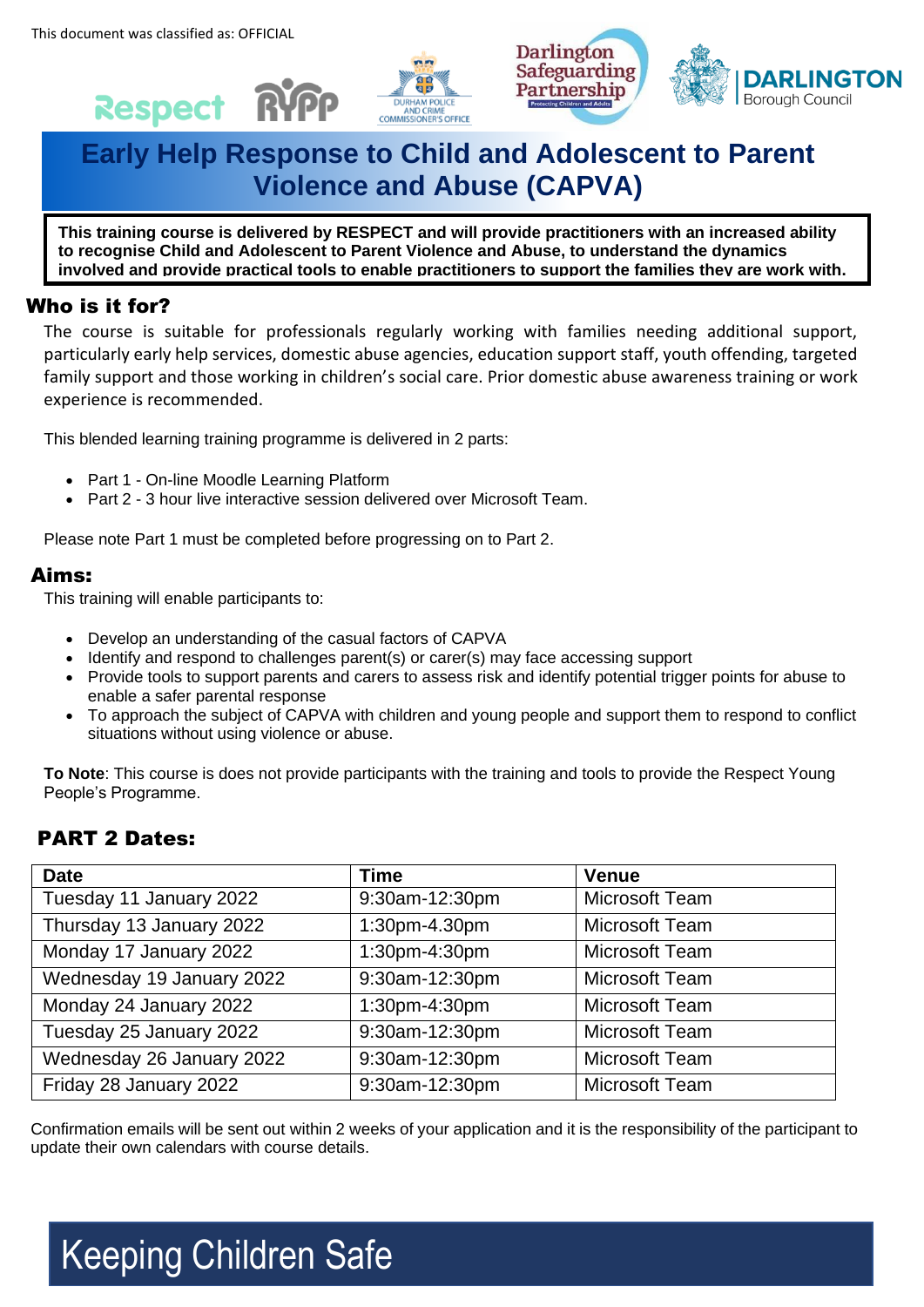

### **Early Help Response to Child and Adolescent to Parent Violence and Abuse (CAPVA)**

**This training course is delivered by RESPECT and will provide practitioners with an increased ability to recognise Child and Adolescent to Parent Violence and Abuse, to understand the dynamics involved and provide practical tools to enable practitioners to support the families they are work with.**

### Who is it for?

The course is suitable for professionals regularly working with families needing additional support, particularly early help services, domestic abuse agencies, education support staff, youth offending, targeted family support and those working in children's social care. Prior domestic abuse awareness training or work experience is recommended.

This blended learning training programme is delivered in 2 parts:

- Part 1 On-line Moodle Learning Platform
- Part 2 3 hour live interactive session delivered over Microsoft Team.

Please note Part 1 must be completed before progressing on to Part 2.

#### Aims:

This training will enable participants to:

- Develop an understanding of the casual factors of CAPVA
- Identify and respond to challenges parent(s) or carer(s) may face accessing support
- Provide tools to support parents and carers to assess risk and identify potential trigger points for abuse to enable a safer parental response
- To approach the subject of CAPVA with children and young people and support them to respond to conflict situations without using violence or abuse.

**To Note**: This course is does not provide participants with the training and tools to provide the Respect Young People's Programme.

### PART 2 Dates:

| <b>Date</b>               | <b>Time</b>    | <b>Venue</b>   |
|---------------------------|----------------|----------------|
| Tuesday 11 January 2022   | 9:30am-12:30pm | Microsoft Team |
| Thursday 13 January 2022  | 1:30pm-4.30pm  | Microsoft Team |
| Monday 17 January 2022    | 1:30pm-4:30pm  | Microsoft Team |
| Wednesday 19 January 2022 | 9:30am-12:30pm | Microsoft Team |
| Monday 24 January 2022    | 1:30pm-4:30pm  | Microsoft Team |
| Tuesday 25 January 2022   | 9:30am-12:30pm | Microsoft Team |
| Wednesday 26 January 2022 | 9:30am-12:30pm | Microsoft Team |
| Friday 28 January 2022    | 9:30am-12:30pm | Microsoft Team |

Confirmation emails will be sent out within 2 weeks of your application and it is the responsibility of the participant to update their own calendars with course details.

# Keeping Children Safe